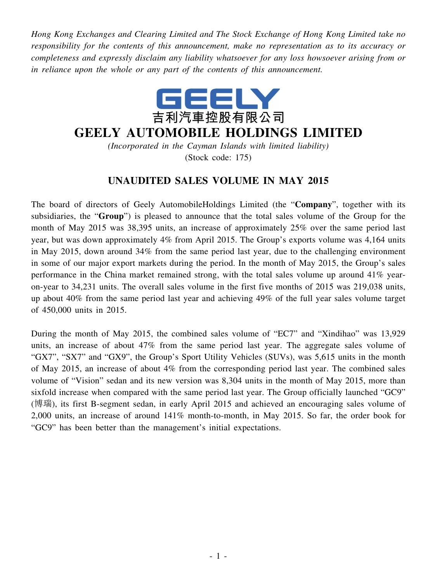*Hong Kong Exchanges and Clearing Limited and The Stock Exchange of Hong Kong Limited take no responsibility for the contents of this announcement, make no representation as to its accuracy or completeness and expressly disclaim any liability whatsoever for any loss howsoever arising from or in reliance upon the whole or any part of the contents of this announcement.*



## **GEELY AUTOMOBILE HOLDINGS LIMITED**

*(Incorporated in the Cayman Islands with limited liability)* (Stock code: 175)

## **UNAUDITED SALES VOLUME IN MAY 2015**

The board of directors of Geely AutomobileHoldings Limited (the "**Company**", together with its subsidiaries, the "**Group**") is pleased to announce that the total sales volume of the Group for the month of May 2015 was 38,395 units, an increase of approximately 25% over the same period last year, but was down approximately 4% from April 2015. The Group's exports volume was 4,164 units in May 2015, down around 34% from the same period last year, due to the challenging environment in some of our major export markets during the period. In the month of May 2015, the Group's sales performance in the China market remained strong, with the total sales volume up around 41% yearon-year to 34,231 units. The overall sales volume in the first five months of 2015 was 219,038 units, up about 40% from the same period last year and achieving 49% of the full year sales volume target of 450,000 units in 2015.

During the month of May 2015, the combined sales volume of "EC7" and "Xindihao" was 13,929 units, an increase of about 47% from the same period last year. The aggregate sales volume of "GX7", "SX7" and "GX9", the Group's Sport Utility Vehicles (SUVs), was 5,615 units in the month of May 2015, an increase of about 4% from the corresponding period last year. The combined sales volume of "Vision" sedan and its new version was 8,304 units in the month of May 2015, more than sixfold increase when compared with the same period last year. The Group officially launched "GC9" (博瑞), its first B-segment sedan, in early April 2015 and achieved an encouraging sales volume of 2,000 units, an increase of around 141% month-to-month, in May 2015. So far, the order book for "GC9" has been better than the management's initial expectations.